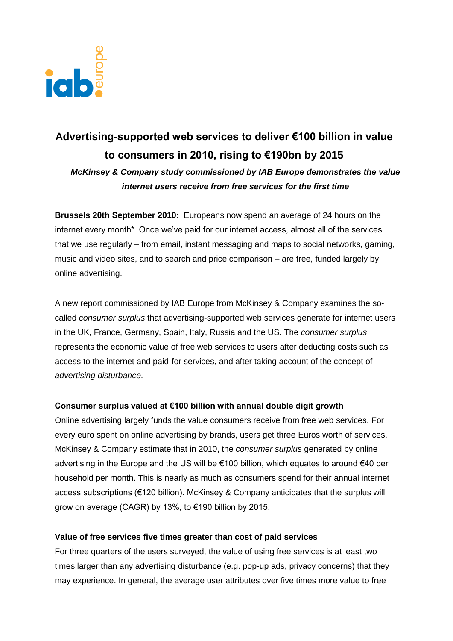

# **Advertising-supported web services to deliver €100 billion in value to consumers in 2010, rising to €190bn by 2015**

*McKinsey & Company study commissioned by IAB Europe demonstrates the value internet users receive from free services for the first time*

**Brussels 20th September 2010:** Europeans now spend an average of 24 hours on the internet every month\*. Once we"ve paid for our internet access, almost all of the services that we use regularly – from email, instant messaging and maps to social networks, gaming, music and video sites, and to search and price comparison – are free, funded largely by online advertising.

A new report commissioned by IAB Europe from McKinsey & Company examines the socalled *consumer surplus* that advertising-supported web services generate for internet users in the UK, France, Germany, Spain, Italy, Russia and the US. The *consumer surplus* represents the economic value of free web services to users after deducting costs such as access to the internet and paid-for services, and after taking account of the concept of *advertising disturbance*.

## **Consumer surplus valued at €100 billion with annual double digit growth**

Online advertising largely funds the value consumers receive from free web services. For every euro spent on online advertising by brands, users get three Euros worth of services. McKinsey & Company estimate that in 2010, the *consumer surplus* generated by online advertising in the Europe and the US will be €100 billion, which equates to around €40 per household per month. This is nearly as much as consumers spend for their annual internet access subscriptions (€120 billion). McKinsey & Company anticipates that the surplus will grow on average (CAGR) by 13%, to €190 billion by 2015.

## **Value of free services five times greater than cost of paid services**

For three quarters of the users surveyed, the value of using free services is at least two times larger than any advertising disturbance (e.g. pop-up ads, privacy concerns) that they may experience. In general, the average user attributes over five times more value to free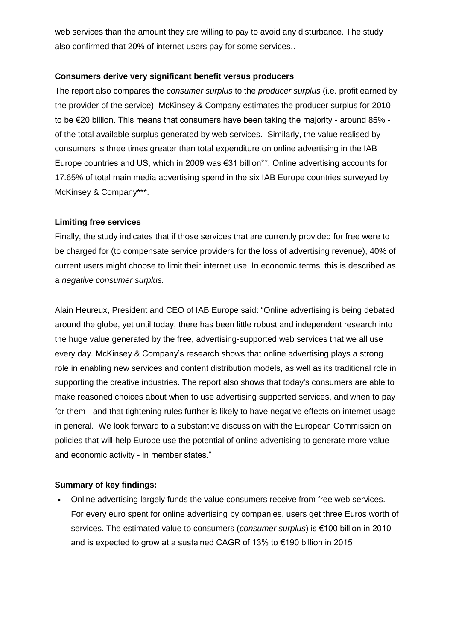web services than the amount they are willing to pay to avoid any disturbance. The study also confirmed that 20% of internet users pay for some services..

# **Consumers derive very significant benefit versus producers**

The report also compares the *consumer surplus* to the *producer surplus* (i.e. profit earned by the provider of the service). McKinsey & Company estimates the producer surplus for 2010 to be €20 billion. This means that consumers have been taking the majority - around 85% of the total available surplus generated by web services. Similarly, the value realised by consumers is three times greater than total expenditure on online advertising in the IAB Europe countries and US, which in 2009 was €31 billion\*\*. Online advertising accounts for 17.65% of total main media advertising spend in the six IAB Europe countries surveyed by McKinsey & Company\*\*\*.

# **Limiting free services**

Finally, the study indicates that if those services that are currently provided for free were to be charged for (to compensate service providers for the loss of advertising revenue), 40% of current users might choose to limit their internet use. In economic terms, this is described as a *negative consumer surplus.*

Alain Heureux, President and CEO of IAB Europe said: "Online advertising is being debated around the globe, yet until today, there has been little robust and independent research into the huge value generated by the free, advertising-supported web services that we all use every day. McKinsey & Company"s research shows that online advertising plays a strong role in enabling new services and content distribution models, as well as its traditional role in supporting the creative industries. The report also shows that today's consumers are able to make reasoned choices about when to use advertising supported services, and when to pay for them - and that tightening rules further is likely to have negative effects on internet usage in general. We look forward to a substantive discussion with the European Commission on policies that will help Europe use the potential of online advertising to generate more value and economic activity - in member states."

## **Summary of key findings:**

 Online advertising largely funds the value consumers receive from free web services. For every euro spent for online advertising by companies, users get three Euros worth of services. The estimated value to consumers (*consumer surplus*) is €100 billion in 2010 and is expected to grow at a sustained CAGR of 13% to €190 billion in 2015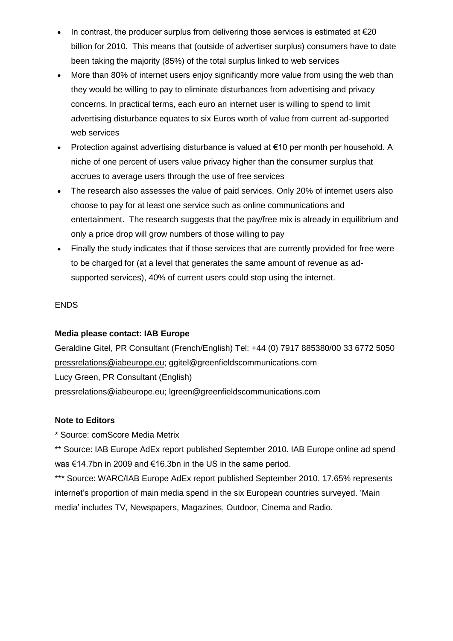- In contrast, the producer surplus from delivering those services is estimated at  $\epsilon$ 20 billion for 2010. This means that (outside of advertiser surplus) consumers have to date been taking the majority (85%) of the total surplus linked to web services
- More than 80% of internet users enjoy significantly more value from using the web than they would be willing to pay to eliminate disturbances from advertising and privacy concerns. In practical terms, each euro an internet user is willing to spend to limit advertising disturbance equates to six Euros worth of value from current ad-supported web services
- Protection against advertising disturbance is valued at €10 per month per household. A niche of one percent of users value privacy higher than the consumer surplus that accrues to average users through the use of free services
- The research also assesses the value of paid services. Only 20% of internet users also choose to pay for at least one service such as online communications and entertainment. The research suggests that the pay/free mix is already in equilibrium and only a price drop will grow numbers of those willing to pay
- Finally the study indicates that if those services that are currently provided for free were to be charged for (at a level that generates the same amount of revenue as adsupported services), 40% of current users could stop using the internet.

# ENDS

# **Media please contact: IAB Europe**

Geraldine Gitel, PR Consultant (French/English) Tel: +44 (0) 7917 885380/00 33 6772 5050 [pressrelations@iabeurope.eu;](mailto:pressrelations@iabeurope.eu) ggitel@greenfieldscommunications.com Lucy Green, PR Consultant (English) [pressrelations@iabeurope.eu;](mailto:pressrelations@iabeurope.eu) lgreen@greenfieldscommunications.com

# **Note to Editors**

\* Source: comScore Media Metrix

\*\* Source: IAB Europe AdEx report published September 2010. IAB Europe online ad spend was €14.7bn in 2009 and €16.3bn in the US in the same period.

\*\*\* Source: WARC/IAB Europe AdEx report published September 2010. 17.65% represents internet"s proportion of main media spend in the six European countries surveyed. "Main media" includes TV, Newspapers, Magazines, Outdoor, Cinema and Radio.